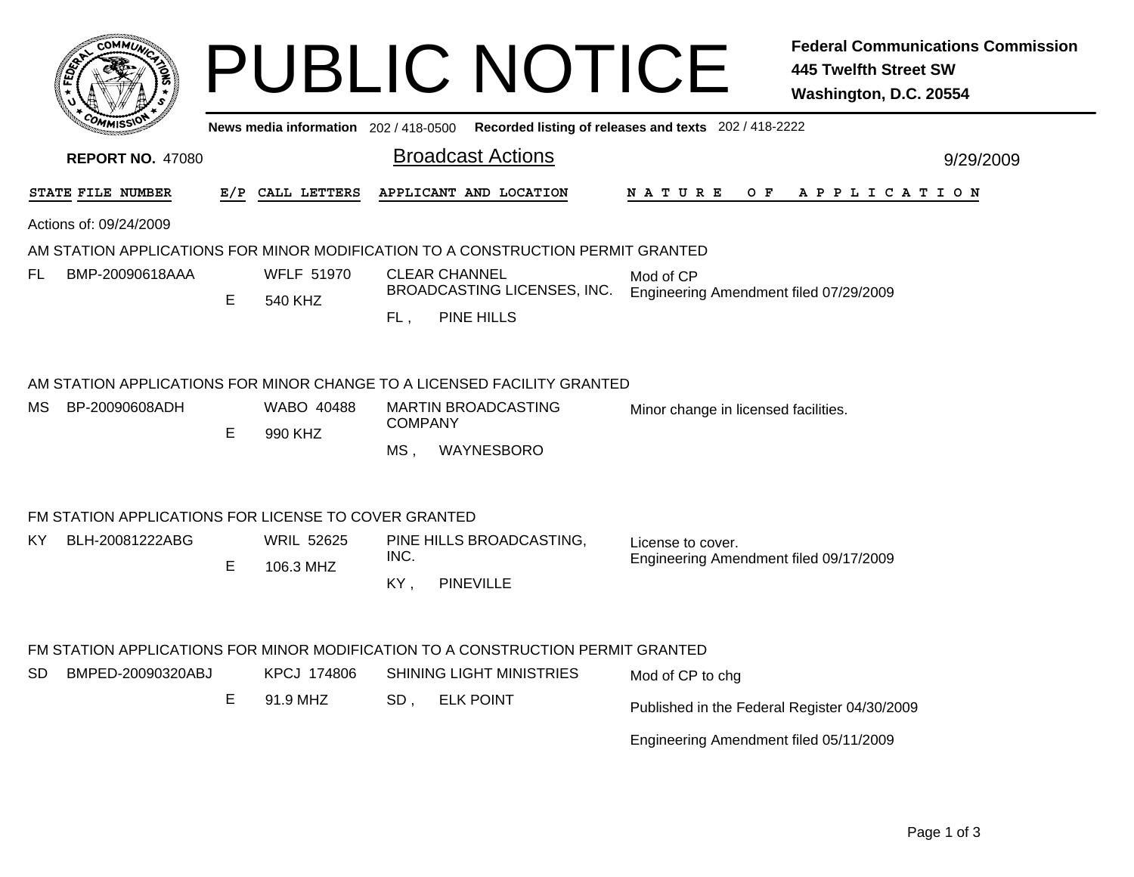|                                                                                                                                                                                                        |     |                                |                                  | <b>PUBLIC NOTICE</b>                                                     |                                                             | <b>Federal Communications Commission</b><br><b>445 Twelfth Street SW</b><br>Washington, D.C. 20554 |  |  |  |
|--------------------------------------------------------------------------------------------------------------------------------------------------------------------------------------------------------|-----|--------------------------------|----------------------------------|--------------------------------------------------------------------------|-------------------------------------------------------------|----------------------------------------------------------------------------------------------------|--|--|--|
| News media information 202 / 418-0500 Recorded listing of releases and texts 202 / 418-2222                                                                                                            |     |                                |                                  |                                                                          |                                                             |                                                                                                    |  |  |  |
| <b>REPORT NO. 47080</b>                                                                                                                                                                                |     |                                |                                  | <b>Broadcast Actions</b>                                                 |                                                             | 9/29/2009                                                                                          |  |  |  |
| STATE FILE NUMBER                                                                                                                                                                                      | E/P | CALL LETTERS                   |                                  | APPLICANT AND LOCATION                                                   | N A T U R E<br>O F                                          | A P P L I C A T I O N                                                                              |  |  |  |
| Actions of: 09/24/2009                                                                                                                                                                                 |     |                                |                                  |                                                                          |                                                             |                                                                                                    |  |  |  |
| AM STATION APPLICATIONS FOR MINOR MODIFICATION TO A CONSTRUCTION PERMIT GRANTED                                                                                                                        |     |                                |                                  |                                                                          |                                                             |                                                                                                    |  |  |  |
| BMP-20090618AAA<br>FL                                                                                                                                                                                  | E   | <b>WFLF 51970</b><br>540 KHZ   | $FL$ ,                           | <b>CLEAR CHANNEL</b><br>BROADCASTING LICENSES, INC.<br><b>PINE HILLS</b> | Mod of CP<br>Engineering Amendment filed 07/29/2009         |                                                                                                    |  |  |  |
| AM STATION APPLICATIONS FOR MINOR CHANGE TO A LICENSED FACILITY GRANTED<br>BP-20090608ADH<br>WABO 40488<br><b>MARTIN BROADCASTING</b><br>MS.<br>Minor change in licensed facilities.<br><b>COMPANY</b> |     |                                |                                  |                                                                          |                                                             |                                                                                                    |  |  |  |
|                                                                                                                                                                                                        | E   | 990 KHZ                        | MS,                              | WAYNESBORO                                                               |                                                             |                                                                                                    |  |  |  |
| FM STATION APPLICATIONS FOR LICENSE TO COVER GRANTED                                                                                                                                                   |     |                                |                                  |                                                                          |                                                             |                                                                                                    |  |  |  |
| BLH-20081222ABG<br>KY.                                                                                                                                                                                 |     | <b>WRIL 52625</b><br>106.3 MHZ | PINE HILLS BROADCASTING,<br>INC. |                                                                          | License to cover.<br>Engineering Amendment filed 09/17/2009 |                                                                                                    |  |  |  |
|                                                                                                                                                                                                        | E   |                                | KY,                              | <b>PINEVILLE</b>                                                         |                                                             |                                                                                                    |  |  |  |
|                                                                                                                                                                                                        |     |                                |                                  |                                                                          |                                                             |                                                                                                    |  |  |  |
| FM STATION APPLICATIONS FOR MINOR MODIFICATION TO A CONSTRUCTION PERMIT GRANTED                                                                                                                        |     |                                |                                  |                                                                          |                                                             |                                                                                                    |  |  |  |
| BMPED-20090320ABJ<br>SD.                                                                                                                                                                               | E   | KPCJ 174806<br>91.9 MHZ        |                                  | <b>SHINING LIGHT MINISTRIES</b><br><b>ELK POINT</b>                      | Mod of CP to chg                                            |                                                                                                    |  |  |  |
|                                                                                                                                                                                                        |     |                                | SD,                              |                                                                          | Published in the Federal Register 04/30/2009                |                                                                                                    |  |  |  |
|                                                                                                                                                                                                        |     |                                |                                  |                                                                          | Engineering Amendment filed 05/11/2009                      |                                                                                                    |  |  |  |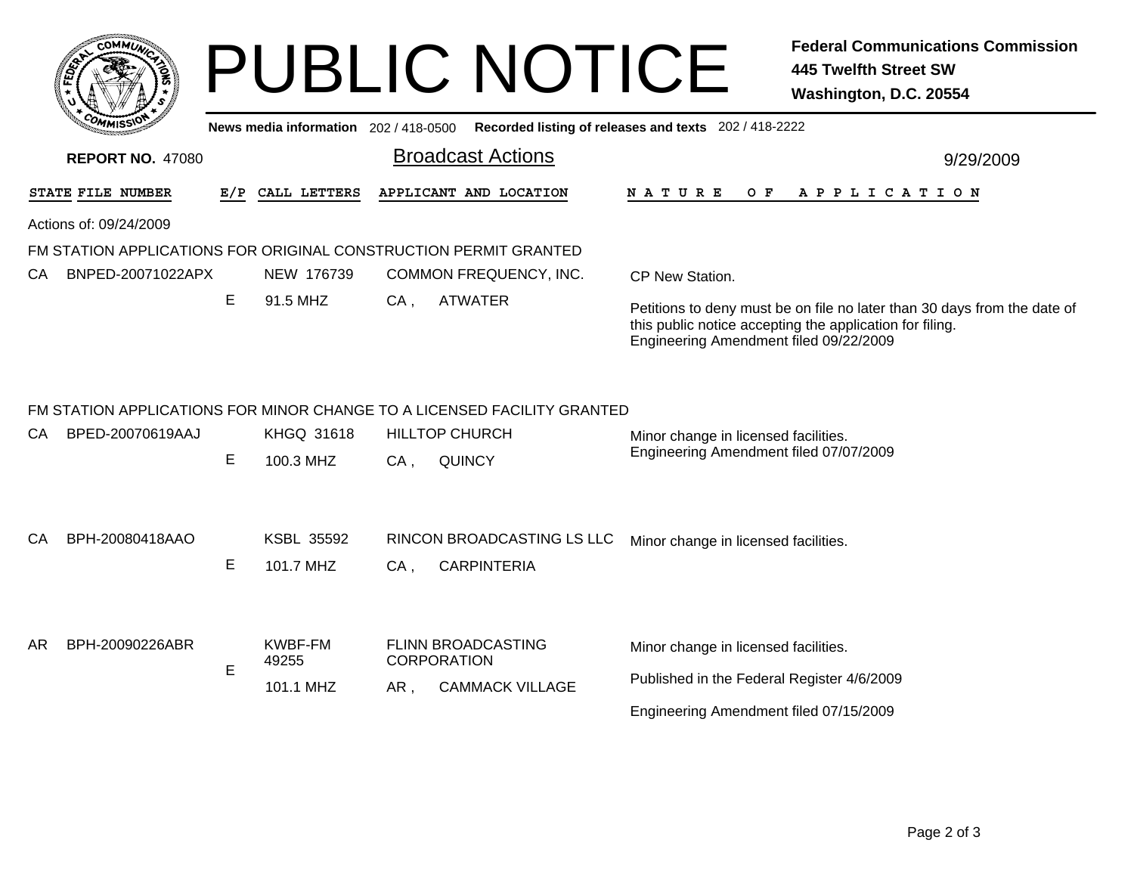|                                                                                                | <b>COMMUT</b>                                                    |     |                                      |                          | <b>PUBLIC NOTICE</b>                                                                             |                                                                                                                              | <b>Federal Communications Commission</b><br><b>445 Twelfth Street SW</b><br>Washington, D.C. 20554                                   |  |  |
|------------------------------------------------------------------------------------------------|------------------------------------------------------------------|-----|--------------------------------------|--------------------------|--------------------------------------------------------------------------------------------------|------------------------------------------------------------------------------------------------------------------------------|--------------------------------------------------------------------------------------------------------------------------------------|--|--|
| News media information 202 / 418-0500<br>Recorded listing of releases and texts 202 / 418-2222 |                                                                  |     |                                      |                          |                                                                                                  |                                                                                                                              |                                                                                                                                      |  |  |
| <b>REPORT NO. 47080</b>                                                                        |                                                                  |     |                                      | <b>Broadcast Actions</b> | 9/29/2009                                                                                        |                                                                                                                              |                                                                                                                                      |  |  |
|                                                                                                | STATE FILE NUMBER                                                | E/P | CALL LETTERS                         |                          | APPLICANT AND LOCATION                                                                           | N A T U R E<br>O F                                                                                                           | A P P L I C A T I O N                                                                                                                |  |  |
|                                                                                                | Actions of: 09/24/2009                                           |     |                                      |                          |                                                                                                  |                                                                                                                              |                                                                                                                                      |  |  |
|                                                                                                | FM STATION APPLICATIONS FOR ORIGINAL CONSTRUCTION PERMIT GRANTED |     |                                      |                          |                                                                                                  |                                                                                                                              |                                                                                                                                      |  |  |
| CA.                                                                                            | BNPED-20071022APX                                                |     | NEW 176739                           |                          | COMMON FREQUENCY, INC.                                                                           | CP New Station.                                                                                                              |                                                                                                                                      |  |  |
|                                                                                                |                                                                  | E   | 91.5 MHZ                             | CA.                      | <b>ATWATER</b>                                                                                   | Engineering Amendment filed 09/22/2009                                                                                       | Petitions to deny must be on file no later than 30 days from the date of<br>this public notice accepting the application for filing. |  |  |
| CA                                                                                             | BPED-20070619AAJ                                                 |     | <b>KHGQ 31618</b>                    |                          | FM STATION APPLICATIONS FOR MINOR CHANGE TO A LICENSED FACILITY GRANTED<br><b>HILLTOP CHURCH</b> | Minor change in licensed facilities.<br>Engineering Amendment filed 07/07/2009                                               |                                                                                                                                      |  |  |
|                                                                                                |                                                                  | E   | 100.3 MHZ                            | $CA$ ,                   | <b>QUINCY</b>                                                                                    |                                                                                                                              |                                                                                                                                      |  |  |
| CA                                                                                             | BPH-20080418AAO                                                  | E   | <b>KSBL 35592</b><br>101.7 MHZ       | $CA$ ,                   | <b>RINCON BROADCASTING LS LLC</b><br><b>CARPINTERIA</b>                                          | Minor change in licensed facilities.                                                                                         |                                                                                                                                      |  |  |
| AR.                                                                                            | BPH-20090226ABR                                                  | E   | <b>KWBF-FM</b><br>49255<br>101.1 MHZ | AR.                      | <b>FLINN BROADCASTING</b><br><b>CORPORATION</b><br><b>CAMMACK VILLAGE</b>                        | Minor change in licensed facilities.<br>Published in the Federal Register 4/6/2009<br>Engineering Amendment filed 07/15/2009 |                                                                                                                                      |  |  |